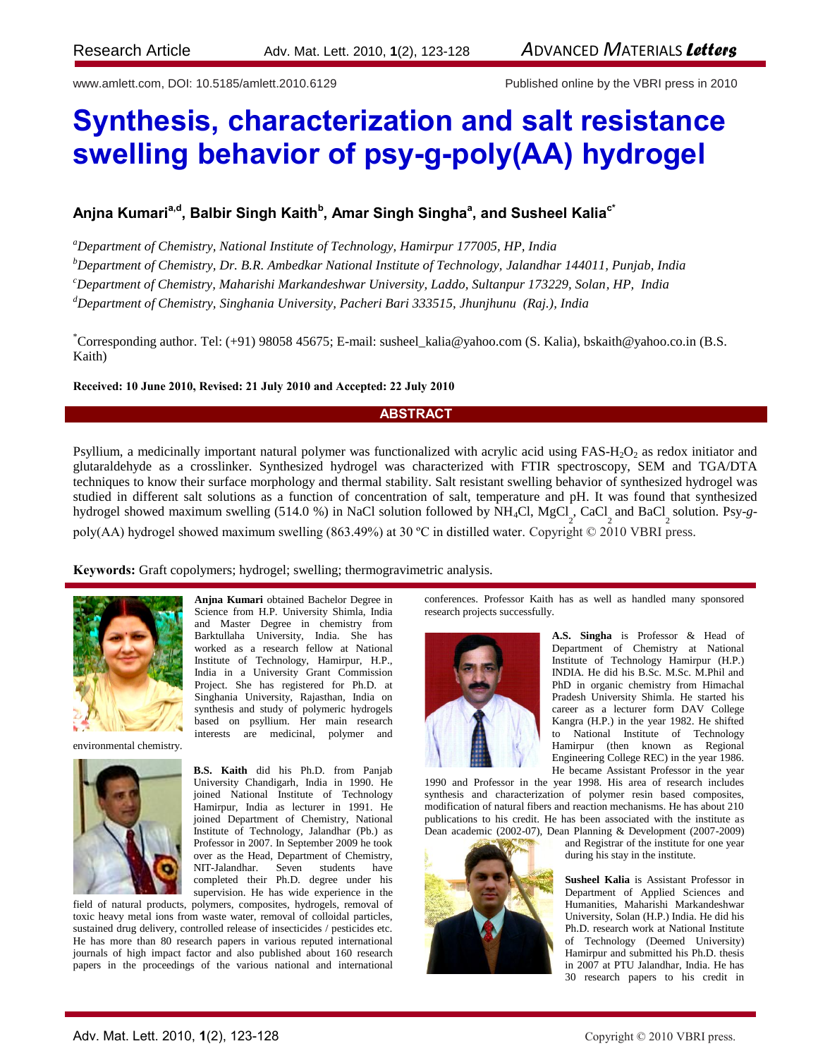www.amlett.com, DOI: 10.5185/amlett.2010.6129 Published online by the VBRI press in 2010

# **Synthesis, characterization and salt resistance swelling behavior of psy-g-poly(AA) hydrogel**

# $\boldsymbol{\mathsf{A}}$ njna Kumari $\boldsymbol{\mathsf{a}}^{\mathsf{d,d}},$  Balbir Singh  $\boldsymbol{\mathsf{R}}$  and  $\boldsymbol{\mathsf{A}}$  and  $\boldsymbol{\mathsf{A}}$  and Susheel Kalia $\boldsymbol{\mathsf{c}}^*$

*<sup>a</sup>Department of Chemistry, National Institute of Technology, Hamirpur 177005, HP, India*

*<sup>b</sup>Department of Chemistry, Dr. B.R. Ambedkar National Institute of Technology, Jalandhar 144011, Punjab, India*

*<sup>c</sup>Department of Chemistry, Maharishi Markandeshwar University, Laddo, Sultanpur 173229, Solan, HP, India*

*<sup>d</sup>Department of Chemistry, Singhania University, Pacheri Bari 333515, Jhunjhunu (Raj.), India*

\*Corresponding author. Tel: (+91) 98058 45675; E-mail: susheel\_kalia@yahoo.com (S. Kalia), bskaith@yahoo.co.in (B.S. Kaith)

#### **Received: 10 June 2010, Revised: 21 July 2010 and Accepted: 22 July 2010**

# **ABSTRACT**

Psyllium, a medicinally important natural polymer was functionalized with acrylic acid using  $FAS-H<sub>2</sub>O<sub>2</sub>$  as redox initiator and glutaraldehyde as a crosslinker. Synthesized hydrogel was characterized with FTIR spectroscopy, SEM and TGA/DTA techniques to know their surface morphology and thermal stability. Salt resistant swelling behavior of synthesized hydrogel was studied in different salt solutions as a function of concentration of salt, temperature and pH. It was found that synthesized hydrogel showed maximum swelling (514.0 %) in NaCl solution followed by NH<sub>4</sub>Cl, MgCl<sub>2</sub>, CaCl<sub>2</sub> and BaCl<sub>2</sub> solution. Psy-gpoly(AA) hydrogel showed maximum swelling (863.49%) at 30 ºC in distilled water. Copyright © 2010 VBRI press.

**Keywords:** Graft copolymers; hydrogel; swelling; thermogravimetric analysis.



**Anjna Kumari** obtained Bachelor Degree in Science from H.P. University Shimla, India and Master Degree in chemistry from Barktullaha University, India. She has worked as a research fellow at National Institute of Technology, Hamirpur, H.P., India in a University Grant Commission Project. She has registered for Ph.D. at Singhania University, Rajasthan, India on synthesis and study of polymeric hydrogels based on psyllium. Her main research interests are medicinal, polymer and

environmental chemistry.



**B.S. Kaith** did his Ph.D. from Panjab University Chandigarh, India in 1990. He joined National Institute of Technology Hamirpur, India as lecturer in 1991. He joined Department of Chemistry, National Institute of Technology, Jalandhar (Pb.) as Professor in 2007. In September 2009 he took over as the Head, Department of Chemistry, NIT-Jalandhar. Seven students have completed their Ph.D. degree under his supervision. He has wide experience in the

field of natural products, polymers, composites, hydrogels, removal of toxic heavy metal ions from waste water, removal of colloidal particles, sustained drug delivery, controlled release of insecticides / pesticides etc. He has more than 80 research papers in various reputed international journals of high impact factor and also published about 160 research papers in the proceedings of the various national and international

conferences. Professor Kaith has as well as handled many sponsored research projects successfully.



**A.S. Singha** is Professor & Head of Department of Chemistry at National Institute of Technology Hamirpur (H.P.) INDIA. He did his B.Sc. M.Sc. M.Phil and PhD in organic chemistry from Himachal Pradesh University Shimla. He started his career as a lecturer form DAV College Kangra (H.P.) in the year 1982. He shifted to National Institute of Technology Hamirpur (then known as Regional Engineering College REC) in the year 1986. He became Assistant Professor in the year

1990 and Professor in the year 1998. His area of research includes synthesis and characterization of polymer resin based composites, modification of natural fibers and reaction mechanisms. He has about 210 publications to his credit. He has been associated with the institute as Dean academic (2002-07), Dean Planning & Development (2007-2009)



and Registrar of the institute for one year during his stay in the institute.

**Susheel Kalia** is Assistant Professor in Department of Applied Sciences and Humanities, Maharishi Markandeshwar University, Solan (H.P.) India. He did his Ph.D. research work at National Institute of Technology (Deemed University) Hamirpur and submitted his Ph.D. thesis in 2007 at PTU Jalandhar, India. He has 30 research papers to his credit in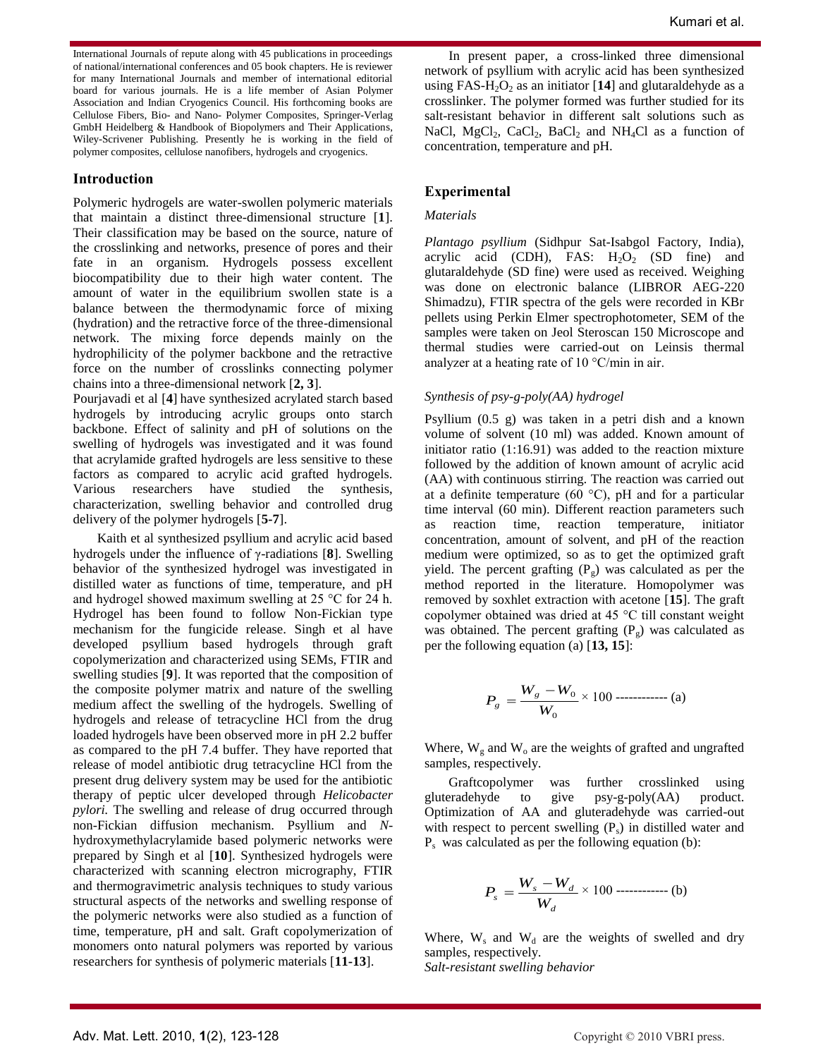International Journals of repute along with 45 publications in proceedings of national/international conferences and 05 book chapters. He is reviewer for many International Journals and member of international editorial board for various journals. He is a life member of Asian Polymer Association and Indian Cryogenics Council. His forthcoming books are Cellulose Fibers, Bio- and Nano- Polymer Composites, Springer-Verlag GmbH Heidelberg & Handbook of Biopolymers and Their Applications, Wiley-Scrivener Publishing. Presently he is working in the field of polymer composites, cellulose nanofibers, hydrogels and cryogenics.

# **Introduction**

Polymeric hydrogels are water-swollen polymeric materials that maintain a distinct three-dimensional structure [**1**]. Their classification may be based on the source, nature of the crosslinking and networks, presence of pores and their fate in an organism. Hydrogels possess excellent biocompatibility due to their high water content. The amount of water in the equilibrium swollen state is a balance between the thermodynamic force of mixing (hydration) and the retractive force of the three-dimensional network. The mixing force depends mainly on the hydrophilicity of the polymer backbone and the retractive force on the number of crosslinks connecting polymer chains into a three-dimensional network [**2, 3**].

Pourjavadi et al [**4**] have synthesized acrylated starch based hydrogels by introducing acrylic groups onto starch backbone. Effect of salinity and pH of solutions on the swelling of hydrogels was investigated and it was found that acrylamide grafted hydrogels are less sensitive to these factors as compared to acrylic acid grafted hydrogels. Various researchers have studied the synthesis, characterization, swelling behavior and controlled drug delivery of the polymer hydrogels [**5-7**].

Kaith et al synthesized psyllium and acrylic acid based hydrogels under the influence of γ-radiations [**8**]. Swelling behavior of the synthesized hydrogel was investigated in distilled water as functions of time, temperature, and pH and hydrogel showed maximum swelling at 25 °C for 24 h. Hydrogel has been found to follow Non-Fickian type mechanism for the fungicide release. Singh et al have developed psyllium based hydrogels through graft copolymerization and characterized using SEMs, FTIR and swelling studies [**9**]. It was reported that the composition of the composite polymer matrix and nature of the swelling medium affect the swelling of the hydrogels. Swelling of hydrogels and release of tetracycline HCl from the drug loaded hydrogels have been observed more in pH 2.2 buffer as compared to the pH 7.4 buffer. They have reported that release of model antibiotic drug tetracycline HCl from the present drug delivery system may be used for the antibiotic therapy of peptic ulcer developed through *Helicobacter pylori.* The swelling and release of drug occurred through non-Fickian diffusion mechanism. Psyllium and *N*hydroxymethylacrylamide based polymeric networks were prepared by Singh et al [**10**]. Synthesized hydrogels were characterized with scanning electron micrography, FTIR and thermogravimetric analysis techniques to study various structural aspects of the networks and swelling response of the polymeric networks were also studied as a function of time, temperature, pH and salt. Graft copolymerization of monomers onto natural polymers was reported by various researchers for synthesis of polymeric materials [**11-13**].

In present paper, a cross-linked three dimensional network of psyllium with acrylic acid has been synthesized using FAS-H<sub>2</sub>O<sub>2</sub> as an initiator [14] and glutaraldehyde as a crosslinker. The polymer formed was further studied for its salt-resistant behavior in different salt solutions such as NaCl,  $MgCl_2$ , CaCl<sub>2</sub>, BaCl<sub>2</sub> and NH<sub>4</sub>Cl as a function of concentration, temperature and pH.

# **Experimental**

# *Materials*

*Plantago psyllium* (Sidhpur Sat-Isabgol Factory, India), acrylic acid (CDH), FAS:  $H_2O_2$  (SD fine) and glutaraldehyde (SD fine) were used as received. Weighing was done on electronic balance (LIBROR AEG-220 Shimadzu), FTIR spectra of the gels were recorded in KBr pellets using Perkin Elmer spectrophotometer, SEM of the samples were taken on Jeol Steroscan 150 Microscope and thermal studies were carried-out on Leinsis thermal analyzer at a heating rate of 10 °C/min in air.

#### *Synthesis of psy-g-poly(AA) hydrogel*

Psyllium (0.5 g) was taken in a petri dish and a known volume of solvent (10 ml) was added. Known amount of initiator ratio (1:16.91) was added to the reaction mixture followed by the addition of known amount of acrylic acid (AA) with continuous stirring. The reaction was carried out at a definite temperature (60  $^{\circ}$ C), pH and for a particular time interval (60 min). Different reaction parameters such as reaction time, reaction temperature, initiator concentration, amount of solvent, and pH of the reaction medium were optimized, so as to get the optimized graft yield. The percent grafting  $(P_g)$  was calculated as per the method reported in the literature. Homopolymer was removed by soxhlet extraction with acetone [**15**]. The graft copolymer obtained was dried at 45 °C till constant weight was obtained. The percent grafting  $(P<sub>g</sub>)$  was calculated as per the following equation (a) [**13, 15**]:

$$
P_g = \frac{W_g - W_0}{W_0} \times 100 \dots \dots \dots \dots \dots \dots \text{(a)}
$$

Where,  $W_g$  and  $W_o$  are the weights of grafted and ungrafted samples, respectively.

Graftcopolymer was further crosslinked using gluteradehyde to give psy-g-poly(AA) product. Optimization of AA and gluteradehyde was carried-out with respect to percent swelling  $(P_s)$  in distilled water and Ps was calculated as per the following equation (b):

$$
P_s = \frac{W_s - W_d}{W_d} \times 100 \text{ ...}
$$
 (b)

Where,  $W_s$  and  $W_d$  are the weights of swelled and dry samples, respectively. *Salt-resistant swelling behavior*

Adv. Mat. Lett. 2010, 1(2), 123-128 Copyright © 2010 VBRI press.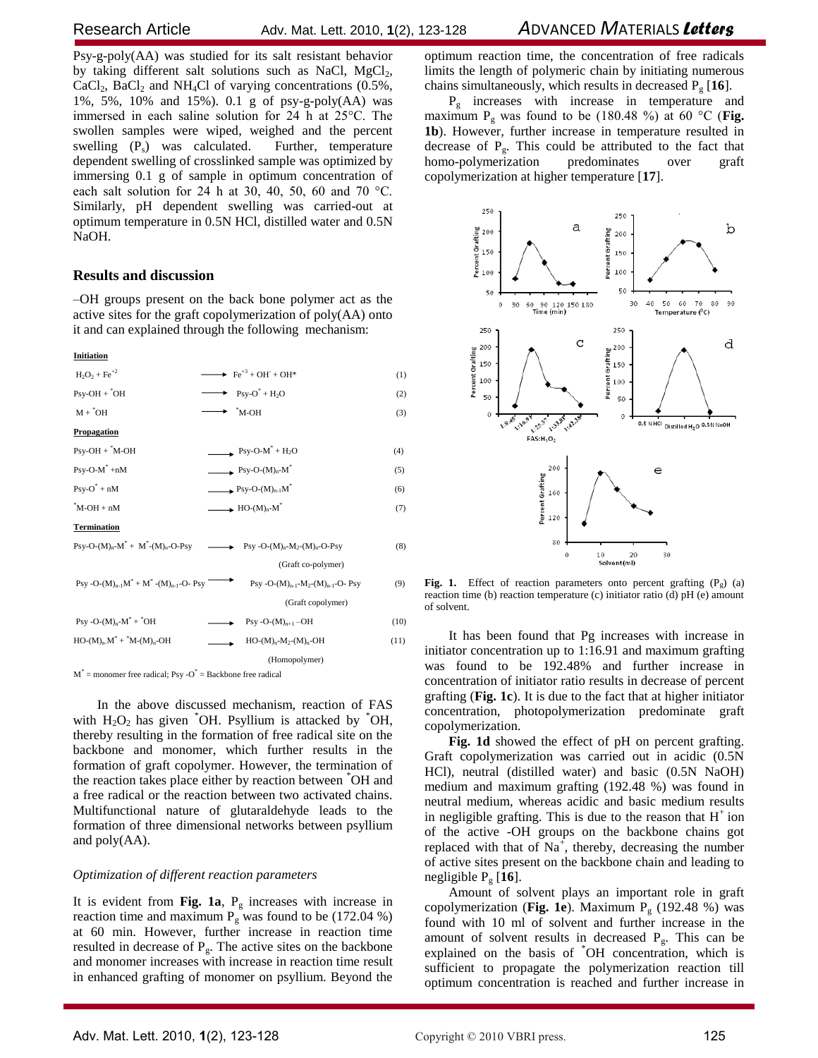Psy-g-poly(AA) was studied for its salt resistant behavior by taking different salt solutions such as NaCl,  $MgCl<sub>2</sub>$ ,  $CaCl<sub>2</sub>$ , BaCl<sub>2</sub> and NH<sub>4</sub>Cl of varying concentrations (0.5%, 1%, 5%, 10% and 15%). 0.1 g of psy-g-poly(AA) was immersed in each saline solution for 24 h at 25°C. The swollen samples were wiped, weighed and the percent swelling  $(P_s)$  was calculated. Further, temperature dependent swelling of crosslinked sample was optimized by immersing 0.1 g of sample in optimum concentration of each salt solution for 24 h at 30, 40, 50, 60 and 70 °C. Similarly, pH dependent swelling was carried-out at optimum temperature in 0.5N HCl, distilled water and 0.5N NaOH.

# **Results and discussion**

–OH groups present on the back bone polymer act as the active sites for the graft copolymerization of poly(AA) onto it and can explained through the following mechanism:

#### **Initiation**

| $H_2O_2 + Fe^{+2}$                                                                                                                                              | $\rightarrow \text{Fe}^{+3} + \text{OH}^+ + \text{OH}^*$ | (1)  |
|-----------------------------------------------------------------------------------------------------------------------------------------------------------------|----------------------------------------------------------|------|
| $Psv-OH + \n OH$                                                                                                                                                | $\rightarrow$ Psy-O <sup>*</sup> + H <sub>2</sub> O      | (2)  |
| $M + {}^{*}OH$                                                                                                                                                  | $\boldsymbol{M}\text{-}\mathrm{OH}$                      | (3)  |
| Propagation                                                                                                                                                     |                                                          |      |
| $Psy-OH + "M-OH$                                                                                                                                                | $\rightarrow$ Psy-O-M <sup>*</sup> + H <sub>2</sub> O    | (4)  |
| $Psv-O-M^*+nM$                                                                                                                                                  | $\longrightarrow$ Psy-O-(M) <sub>n</sub> -M <sup>*</sup> | (5)  |
| $Psv-O^* + nM$                                                                                                                                                  | $\longrightarrow$ Psy-O- $(M)_{n-1}M^*$                  | (6)  |
| $M-OH + nM$                                                                                                                                                     | $\longrightarrow$ HO- $(M)_n$ - $M^*$                    | (7)  |
| <b>Termination</b>                                                                                                                                              |                                                          |      |
| $\text{Psy-O-(M)}_n\text{-}M^* + M^* \text{-} (M)_n\text{-}O\text{-}Psy$ $\longrightarrow$ $\text{Psy-O-(M)}_n\text{-}M_{2} \text{-} (M)_n\text{-}O\text{-}Psy$ |                                                          | (8)  |
|                                                                                                                                                                 | (Graft co-polymer)                                       |      |
| $Psy - O-(M)_{n-1}M^* + M^* - (M)_{n-1} - O - Psy$                                                                                                              | Psy -O- $(M)_{n-1}$ - $M_2$ - $(M)_{n-1}$ -O- Psy        | (9)  |
|                                                                                                                                                                 | (Graft copolymer)                                        |      |
| $Psy - O-(M)n-M^* + {}^*OH$                                                                                                                                     | $Psy - O-(M)_{n+1} - OH$                                 | (10) |
| $HO-(M)_{n}M^* + {}^*M-(M)_{n}$ -OH                                                                                                                             | $HO-(M)_{n}-M_{2}-(M)_{n}-OH$                            | (11) |
|                                                                                                                                                                 | (Homopolymer)                                            |      |

 $M^*$  = monomer free radical; Psy - $O^*$  = Backbone free radical

In the above discussed mechanism, reaction of FAS with  $H_2O_2$  has given  $\degree$ OH. Psyllium is attacked by  $\degree$ OH, thereby resulting in the formation of free radical site on the backbone and monomer, which further results in the formation of graft copolymer. However, the termination of the reaction takes place either by reaction between \*OH and a free radical or the reaction between two activated chains. Multifunctional nature of glutaraldehyde leads to the formation of three dimensional networks between psyllium and poly(AA).

#### *Optimization of different reaction parameters*

It is evident from **Fig. 1a**,  $P_g$  increases with increase in reaction time and maximum  $P_g$  was found to be (172.04 %) at 60 min. However, further increase in reaction time resulted in decrease of  $P_g$ . The active sites on the backbone and monomer increases with increase in reaction time result in enhanced grafting of monomer on psyllium. Beyond the optimum reaction time, the concentration of free radicals limits the length of polymeric chain by initiating numerous chains simultaneously, which results in decreased  $P_g$  [16].

 $P_g$  increases with increase in temperature and maximum  $P_g$  was found to be (180.48 %) at 60 °C (**Fig. 1b**). However, further increase in temperature resulted in decrease of  $P_g$ . This could be attributed to the fact that homo-polymerization predominates over graft copolymerization at higher temperature [**17**].



**Fig. 1.** Effect of reaction parameters onto percent grafting  $(P_g)$  (a) reaction time (b) reaction temperature (c) initiator ratio (d) pH (e) amount of solvent.

It has been found that Pg increases with increase in initiator concentration up to 1:16.91 and maximum grafting was found to be 192.48% and further increase in concentration of initiator ratio results in decrease of percent grafting (**Fig. 1c**). It is due to the fact that at higher initiator concentration, photopolymerization predominate graft copolymerization.

**Fig. 1d** showed the effect of pH on percent grafting. Graft copolymerization was carried out in acidic (0.5N HCl), neutral (distilled water) and basic (0.5N NaOH) medium and maximum grafting (192.48 %) was found in neutral medium, whereas acidic and basic medium results in negligible grafting. This is due to the reason that  $H^+$  ion of the active -OH groups on the backbone chains got replaced with that of  $Na^+$ , thereby, decreasing the number of active sites present on the backbone chain and leading to negligible P<sup>g</sup> [**16**].

Amount of solvent plays an important role in graft copolymerization (**Fig. 1e**). Maximum P<sub>g</sub> (192.48 %) was found with 10 ml of solvent and further increase in the amount of solvent results in decreased  $P_g$ . This can be explained on the basis of \*OH concentration, which is sufficient to propagate the polymerization reaction till optimum concentration is reached and further increase in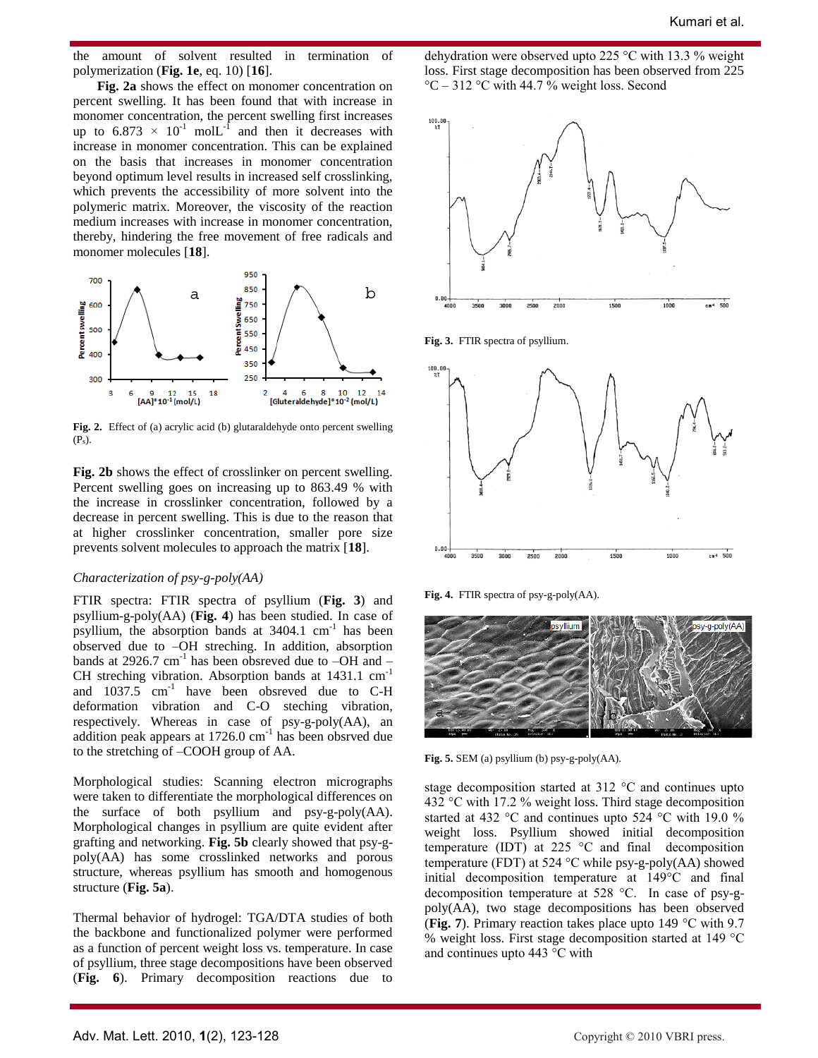the amount of solvent resulted in termination of polymerization (**Fig. 1e**, eq. 10) [**16**].

**Fig. 2a** shows the effect on monomer concentration on percent swelling. It has been found that with increase in monomer concentration, the percent swelling first increases up to  $6.873 \times 10^{-1}$  mol $L^{-1}$  and then it decreases with increase in monomer concentration. This can be explained on the basis that increases in monomer concentration beyond optimum level results in increased self crosslinking, which prevents the accessibility of more solvent into the polymeric matrix. Moreover, the viscosity of the reaction medium increases with increase in monomer concentration, thereby, hindering the free movement of free radicals and monomer molecules [**18**].



**Fig. 2.** Effect of (a) acrylic acid (b) glutaraldehyde onto percent swelling  $(P_s)$ .

**Fig. 2b** shows the effect of crosslinker on percent swelling. Percent swelling goes on increasing up to 863.49 % with the increase in crosslinker concentration, followed by a decrease in percent swelling. This is due to the reason that at higher crosslinker concentration, smaller pore size prevents solvent molecules to approach the matrix [**18**].

#### *Characterization of psy-g-poly(AA)*

FTIR spectra: FTIR spectra of psyllium (**Fig. 3**) and psyllium-g-poly(AA) (**Fig. 4**) has been studied. In case of psyllium, the absorption bands at 3404.1 cm<sup>-1</sup> has been observed due to –OH streching. In addition, absorption bands at 2926.7  $cm^{-1}$  has been obsreved due to  $-OH$  and  $-$ CH streching vibration. Absorption bands at 1431.1 cm<sup>-1</sup> and  $1037.5$  cm<sup>-1</sup> have been obsreved due to C-H deformation vibration and C-O steching vibration, respectively. Whereas in case of psy-g-poly(AA), an addition peak appears at 1726.0 cm<sup>-1</sup> has been obsrved due to the stretching of –COOH group of AA.

Morphological studies: Scanning electron micrographs were taken to differentiate the morphological differences on the surface of both psyllium and psy-g-poly(AA). Morphological changes in psyllium are quite evident after grafting and networking. **Fig. 5b** clearly showed that psy-gpoly(AA) has some crosslinked networks and porous structure, whereas psyllium has smooth and homogenous structure (**Fig. 5a**).

Thermal behavior of hydrogel: TGA/DTA studies of both the backbone and functionalized polymer were performed as a function of percent weight loss vs. temperature. In case of psyllium, three stage decompositions have been observed (**Fig. 6**). Primary decomposition reactions due to

dehydration were observed upto 225 °C with 13.3 % weight loss. First stage decomposition has been observed from 225  $\degree$ C – 312  $\degree$ C with 44.7 % weight loss. Second



**Fig. 3.** FTIR spectra of psyllium.



**Fig. 4.** FTIR spectra of psy-g-poly(AA).



**Fig. 5.** SEM (a) psyllium (b) psy-g-poly(AA).

stage decomposition started at 312 °C and continues upto 432 °C with 17.2 % weight loss. Third stage decomposition started at 432 °C and continues upto 524 °C with 19.0 % weight loss. Psyllium showed initial decomposition temperature (IDT) at 225  $\degree$ C and final decomposition temperature (FDT) at 524  $^{\circ}$ C while psy-g-poly(AA) showed initial decomposition temperature at 149°C and final decomposition temperature at 528 °C. In case of psy-gpoly(AA), two stage decompositions has been observed (**Fig. 7**). Primary reaction takes place upto 149 °C with 9.7 % weight loss. First stage decomposition started at 149 °C and continues upto 443 °C with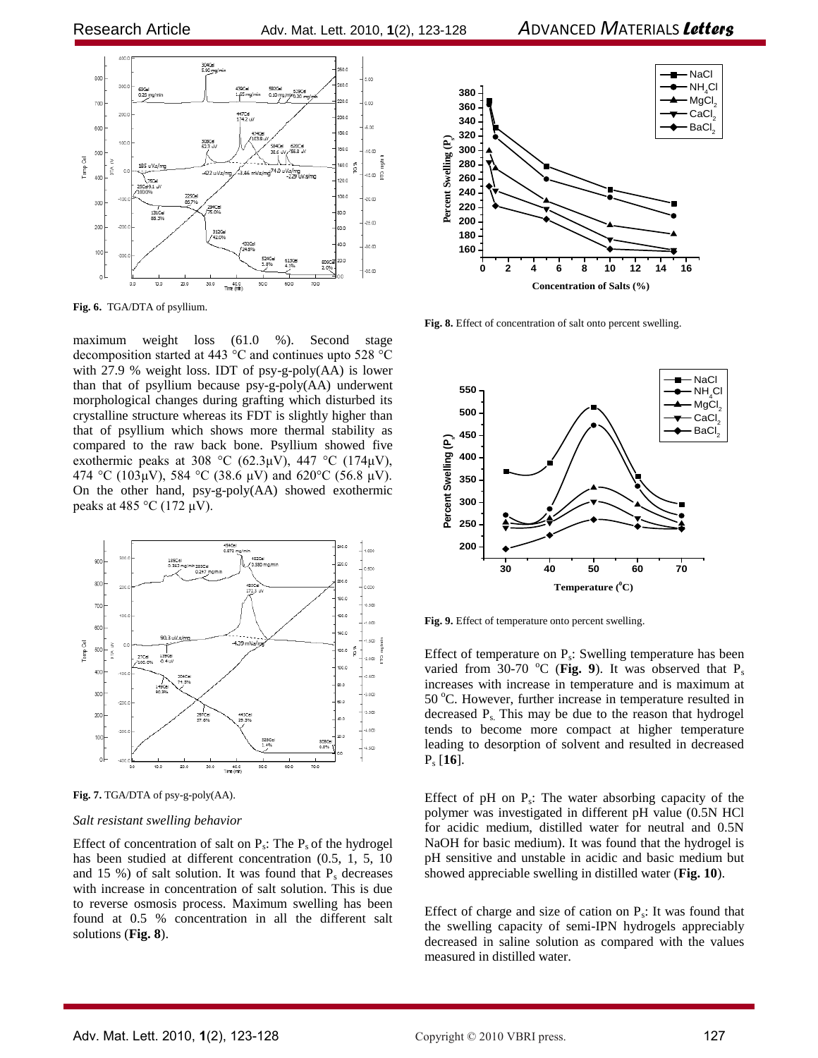

**Fig. 6.** TGA/DTA of psyllium.

maximum weight loss (61.0 %). Second stage decomposition started at 443 °C and continues upto 528 °C with 27.9 % weight loss. IDT of psy-g-poly(AA) is lower than that of psyllium because psy-g-poly(AA) underwent morphological changes during grafting which disturbed its crystalline structure whereas its FDT is slightly higher than that of psyllium which shows more thermal stability as compared to the raw back bone. Psyllium showed five exothermic peaks at 308 °C (62.3µV), 447 °C (174µV), 474 °C (103µV), 584 °C (38.6 µV) and 620°C (56.8 µV). On the other hand, psy-g-poly(AA) showed exothermic peaks at 485 °C (172  $\mu$ V).



**Fig. 7.** TGA/DTA of psy-g-poly(AA).

# *Salt resistant swelling behavior*

Effect of concentration of salt on  $P_s$ : The  $P_s$  of the hydrogel has been studied at different concentration (0.5, 1, 5, 10 and 15 %) of salt solution. It was found that  $P_s$  decreases with increase in concentration of salt solution. This is due to reverse osmosis process. Maximum swelling has been found at 0.5 % concentration in all the different salt solutions (**Fig. 8**).



**Fig. 8.** Effect of concentration of salt onto percent swelling.



**Fig. 9.** Effect of temperature onto percent swelling.

Effect of temperature on  $P_s$ : Swelling temperature has been varied from 30-70  $^{\circ}$ C (Fig. 9). It was observed that P<sub>s</sub> increases with increase in temperature and is maximum at 50 °C. However, further increase in temperature resulted in decreased  $P_s$ . This may be due to the reason that hydrogel tends to become more compact at higher temperature leading to desorption of solvent and resulted in decreased P<sup>s</sup> [**16**].

Effect of  $pH$  on  $P_s$ : The water absorbing capacity of the polymer was investigated in different pH value (0.5N HCl for acidic medium, distilled water for neutral and 0.5N NaOH for basic medium). It was found that the hydrogel is pH sensitive and unstable in acidic and basic medium but showed appreciable swelling in distilled water (**Fig. 10**).

Effect of charge and size of cation on  $P_s$ : It was found that the swelling capacity of semi-IPN hydrogels appreciably decreased in saline solution as compared with the values measured in distilled water.